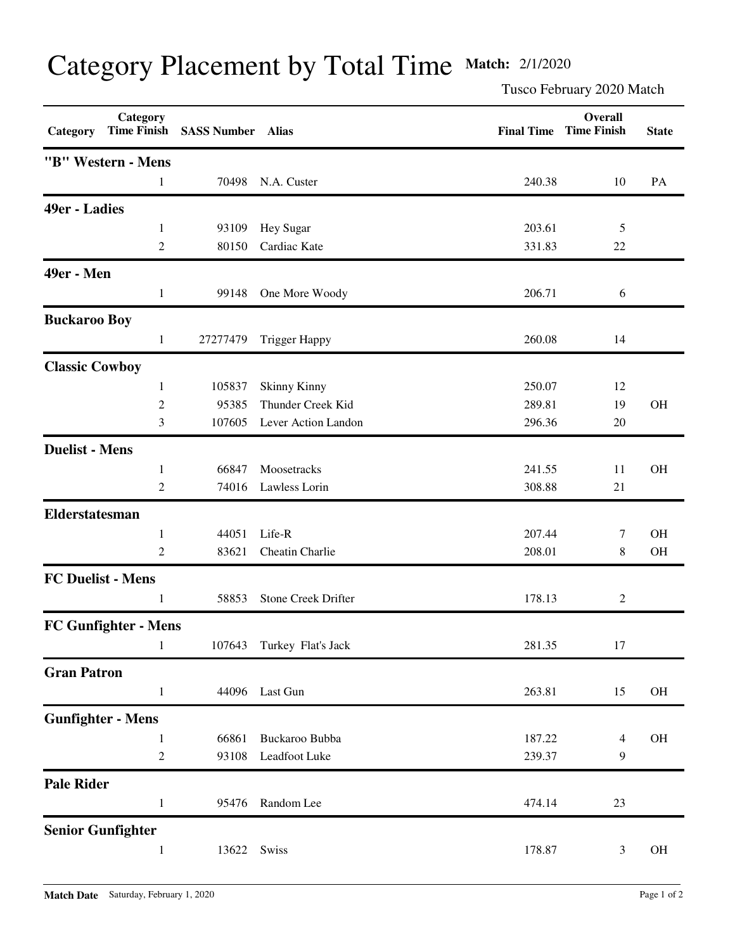## Category Placement by Total Time **Match:** 2/1/2020

Tusco February 2020 Match

| Category                 | Category                    | Time Finish SASS Number Alias |                            |        | Overall<br><b>Final Time Time Finish</b> | <b>State</b> |
|--------------------------|-----------------------------|-------------------------------|----------------------------|--------|------------------------------------------|--------------|
|                          | "B" Western - Mens          |                               |                            |        |                                          |              |
|                          | $\mathbf{1}$                | 70498                         | N.A. Custer                | 240.38 | 10                                       | PA           |
| 49er - Ladies            |                             |                               |                            |        |                                          |              |
|                          | $\mathbf{1}$                | 93109                         | Hey Sugar                  | 203.61 | 5                                        |              |
|                          | $\mathbf{2}$                | 80150                         | Cardiac Kate               | 331.83 | 22                                       |              |
| <b>49er</b> - Men        |                             |                               |                            |        |                                          |              |
|                          | $\mathbf{1}$                | 99148                         | One More Woody             | 206.71 | 6                                        |              |
| <b>Buckaroo Boy</b>      |                             |                               |                            |        |                                          |              |
|                          | $\mathbf{1}$                | 27277479                      | <b>Trigger Happy</b>       | 260.08 | 14                                       |              |
| <b>Classic Cowboy</b>    |                             |                               |                            |        |                                          |              |
|                          | 1                           | 105837                        | <b>Skinny Kinny</b>        | 250.07 | 12                                       |              |
|                          | $\overline{2}$              | 95385                         | Thunder Creek Kid          | 289.81 | 19                                       | OH           |
|                          | 3                           | 107605                        | Lever Action Landon        | 296.36 | 20                                       |              |
| <b>Duelist - Mens</b>    |                             |                               |                            |        |                                          |              |
|                          | $\mathbf{1}$                | 66847                         | Moosetracks                | 241.55 | 11                                       | OH           |
|                          | 2                           | 74016                         | Lawless Lorin              | 308.88 | 21                                       |              |
| Elderstatesman           |                             |                               |                            |        |                                          |              |
|                          | $\mathbf{1}$                | 44051                         | Life-R                     | 207.44 | 7                                        | OH           |
|                          | 2                           | 83621                         | Cheatin Charlie            | 208.01 | 8                                        | OH           |
| <b>FC Duelist - Mens</b> |                             |                               |                            |        |                                          |              |
|                          | 1                           | 58853                         | <b>Stone Creek Drifter</b> | 178.13 | $\overline{2}$                           |              |
|                          | <b>FC Gunfighter - Mens</b> |                               |                            |        |                                          |              |
|                          | 1                           | 107643                        | Turkey Flat's Jack         | 281.35 | 17                                       |              |
| <b>Gran Patron</b>       |                             |                               |                            |        |                                          |              |
|                          | $\mathbf{1}$                | 44096                         | Last Gun                   | 263.81 | 15                                       | OH           |
|                          | <b>Gunfighter - Mens</b>    |                               |                            |        |                                          |              |
|                          | $\mathbf{1}$                | 66861                         | Buckaroo Bubba             | 187.22 | 4                                        | $\rm OH$     |
|                          | $\overline{c}$              | 93108                         | Leadfoot Luke              | 239.37 | 9                                        |              |
| <b>Pale Rider</b>        |                             |                               |                            |        |                                          |              |
|                          | $\mathbf{1}$                | 95476                         | Random Lee                 | 474.14 | 23                                       |              |
| <b>Senior Gunfighter</b> |                             |                               |                            |        |                                          |              |
|                          | $\mathbf{1}$                | 13622                         | Swiss                      | 178.87 | 3                                        | OH           |